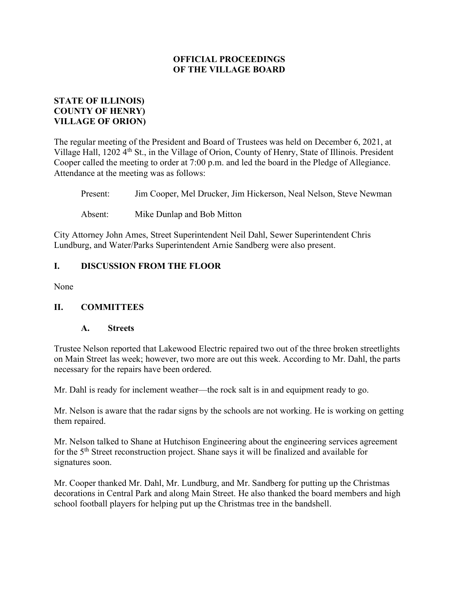# STATE OF ILLINOIS) COUNTY OF HENRY) VILLAGE OF ORION)

The regular meeting of the President and Board of Trustees was held on December 6, 2021, at Village Hall, 1202 4<sup>th</sup> St., in the Village of Orion, County of Henry, State of Illinois. President Cooper called the meeting to order at 7:00 p.m. and led the board in the Pledge of Allegiance. Attendance at the meeting was as follows:

Present: Jim Cooper, Mel Drucker, Jim Hickerson, Neal Nelson, Steve Newman

Absent: Mike Dunlap and Bob Mitton

City Attorney John Ames, Street Superintendent Neil Dahl, Sewer Superintendent Chris Lundburg, and Water/Parks Superintendent Arnie Sandberg were also present.

# I. DISCUSSION FROM THE FLOOR

None

## II. COMMITTEES

## A. Streets

Trustee Nelson reported that Lakewood Electric repaired two out of the three broken streetlights on Main Street las week; however, two more are out this week. According to Mr. Dahl, the parts necessary for the repairs have been ordered.

Mr. Dahl is ready for inclement weather—the rock salt is in and equipment ready to go.

Mr. Nelson is aware that the radar signs by the schools are not working. He is working on getting them repaired.

Mr. Nelson talked to Shane at Hutchison Engineering about the engineering services agreement for the 5th Street reconstruction project. Shane says it will be finalized and available for signatures soon.

Mr. Cooper thanked Mr. Dahl, Mr. Lundburg, and Mr. Sandberg for putting up the Christmas decorations in Central Park and along Main Street. He also thanked the board members and high school football players for helping put up the Christmas tree in the bandshell.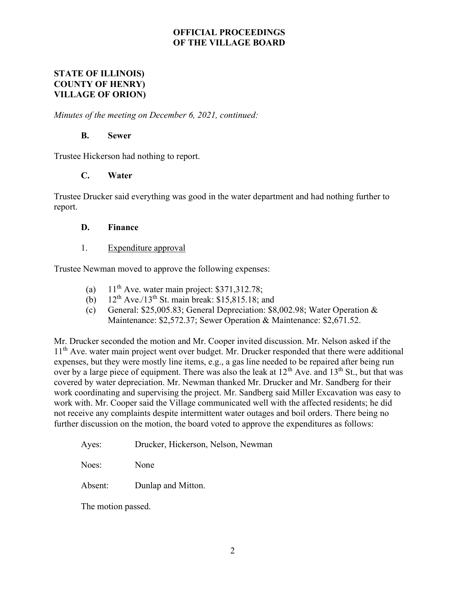### STATE OF ILLINOIS) COUNTY OF HENRY) VILLAGE OF ORION)

Minutes of the meeting on December 6, 2021, continued:

#### B. Sewer

Trustee Hickerson had nothing to report.

## C. Water

Trustee Drucker said everything was good in the water department and had nothing further to report.

#### D. Finance

#### 1. Expenditure approval

Trustee Newman moved to approve the following expenses:

- (a)  $11<sup>th</sup>$  Ave. water main project: \$371,312.78;
- (b)  $12^{th}$  Ave./13<sup>th</sup> St. main break: \$15,815.18; and
- (c) General: \$25,005.83; General Depreciation: \$8,002.98; Water Operation & Maintenance: \$2,572.37; Sewer Operation & Maintenance: \$2,671.52.

Mr. Drucker seconded the motion and Mr. Cooper invited discussion. Mr. Nelson asked if the 11<sup>th</sup> Ave. water main project went over budget. Mr. Drucker responded that there were additional expenses, but they were mostly line items, e.g., a gas line needed to be repaired after being run over by a large piece of equipment. There was also the leak at 12<sup>th</sup> Ave. and 13<sup>th</sup> St., but that was covered by water depreciation. Mr. Newman thanked Mr. Drucker and Mr. Sandberg for their work coordinating and supervising the project. Mr. Sandberg said Miller Excavation was easy to work with. Mr. Cooper said the Village communicated well with the affected residents; he did not receive any complaints despite intermittent water outages and boil orders. There being no further discussion on the motion, the board voted to approve the expenditures as follows:

Ayes: Drucker, Hickerson, Nelson, Newman

Noes: None

Absent: Dunlap and Mitton.

The motion passed.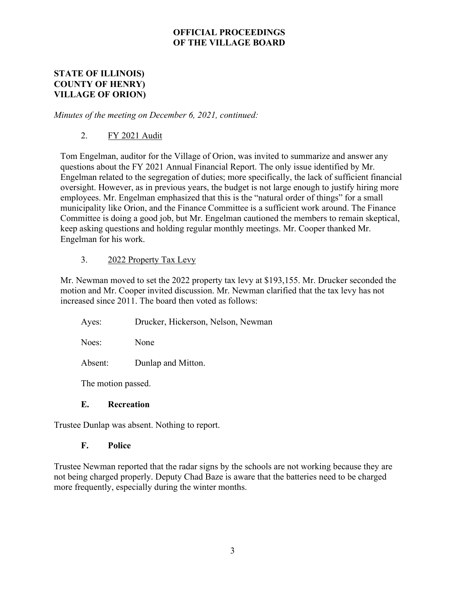## STATE OF ILLINOIS) COUNTY OF HENRY) VILLAGE OF ORION)

Minutes of the meeting on December 6, 2021, continued:

# 2. FY 2021 Audit

Tom Engelman, auditor for the Village of Orion, was invited to summarize and answer any questions about the FY 2021 Annual Financial Report. The only issue identified by Mr. Engelman related to the segregation of duties; more specifically, the lack of sufficient financial oversight. However, as in previous years, the budget is not large enough to justify hiring more employees. Mr. Engelman emphasized that this is the "natural order of things" for a small municipality like Orion, and the Finance Committee is a sufficient work around. The Finance Committee is doing a good job, but Mr. Engelman cautioned the members to remain skeptical, keep asking questions and holding regular monthly meetings. Mr. Cooper thanked Mr. Engelman for his work.

# 3. 2022 Property Tax Levy

Mr. Newman moved to set the 2022 property tax levy at \$193,155. Mr. Drucker seconded the motion and Mr. Cooper invited discussion. Mr. Newman clarified that the tax levy has not increased since 2011. The board then voted as follows:

| Ayes: |  | Drucker, Hickerson, Nelson, Newman |  |  |
|-------|--|------------------------------------|--|--|
|-------|--|------------------------------------|--|--|

Noes: None

Absent: Dunlap and Mitton.

The motion passed.

## E. Recreation

Trustee Dunlap was absent. Nothing to report.

## F. Police

Trustee Newman reported that the radar signs by the schools are not working because they are not being charged properly. Deputy Chad Baze is aware that the batteries need to be charged more frequently, especially during the winter months.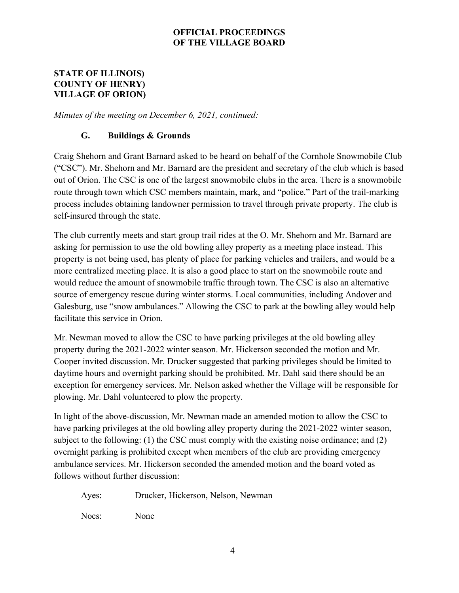## STATE OF ILLINOIS) COUNTY OF HENRY) VILLAGE OF ORION)

Minutes of the meeting on December 6, 2021, continued:

# G. Buildings & Grounds

Craig Shehorn and Grant Barnard asked to be heard on behalf of the Cornhole Snowmobile Club ("CSC"). Mr. Shehorn and Mr. Barnard are the president and secretary of the club which is based out of Orion. The CSC is one of the largest snowmobile clubs in the area. There is a snowmobile route through town which CSC members maintain, mark, and "police." Part of the trail-marking process includes obtaining landowner permission to travel through private property. The club is self-insured through the state.

The club currently meets and start group trail rides at the O. Mr. Shehorn and Mr. Barnard are asking for permission to use the old bowling alley property as a meeting place instead. This property is not being used, has plenty of place for parking vehicles and trailers, and would be a more centralized meeting place. It is also a good place to start on the snowmobile route and would reduce the amount of snowmobile traffic through town. The CSC is also an alternative source of emergency rescue during winter storms. Local communities, including Andover and Galesburg, use "snow ambulances." Allowing the CSC to park at the bowling alley would help facilitate this service in Orion.

Mr. Newman moved to allow the CSC to have parking privileges at the old bowling alley property during the 2021-2022 winter season. Mr. Hickerson seconded the motion and Mr. Cooper invited discussion. Mr. Drucker suggested that parking privileges should be limited to daytime hours and overnight parking should be prohibited. Mr. Dahl said there should be an exception for emergency services. Mr. Nelson asked whether the Village will be responsible for plowing. Mr. Dahl volunteered to plow the property.

In light of the above-discussion, Mr. Newman made an amended motion to allow the CSC to have parking privileges at the old bowling alley property during the 2021-2022 winter season, subject to the following: (1) the CSC must comply with the existing noise ordinance; and (2) overnight parking is prohibited except when members of the club are providing emergency ambulance services. Mr. Hickerson seconded the amended motion and the board voted as follows without further discussion:

Ayes: Drucker, Hickerson, Nelson, Newman

Noes: None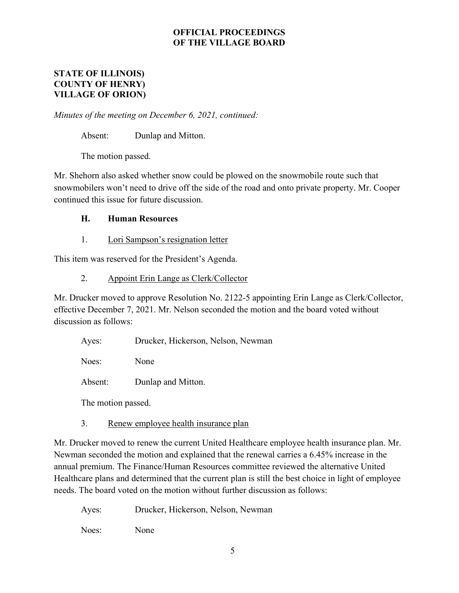## STATE OF ILLINOIS) COUNTY OF HENRY) VILLAGE OF ORION)

Minutes of the meeting on December 6, 2021, continued:

Absent: Dunlap and Mitton.

The motion passed.

Mr. Shehorn also asked whether snow could be plowed on the snowmobile route such that snowmobilers won't need to drive off the side of the road and onto private property. Mr. Cooper continued this issue for future discussion.

# H. Human Resources

1. Lori Sampson's resignation letter

This item was reserved for the President's Agenda.

## 2. Appoint Erin Lange as Clerk/Collector

Mr. Drucker moved to approve Resolution No. 2122-5 appointing Erin Lange as Clerk/Collector, effective December 7, 2021. Mr. Nelson seconded the motion and the board voted without discussion as follows:

Ayes: Drucker, Hickerson, Nelson, Newman

Noes: None

Absent: Dunlap and Mitton.

The motion passed.

3. Renew employee health insurance plan

Mr. Drucker moved to renew the current United Healthcare employee health insurance plan. Mr. Newman seconded the motion and explained that the renewal carries a 6.45% increase in the annual premium. The Finance/Human Resources committee reviewed the alternative United Healthcare plans and determined that the current plan is still the best choice in light of employee needs. The board voted on the motion without further discussion as follows:

Ayes: Drucker, Hickerson, Nelson, Newman

Noes: None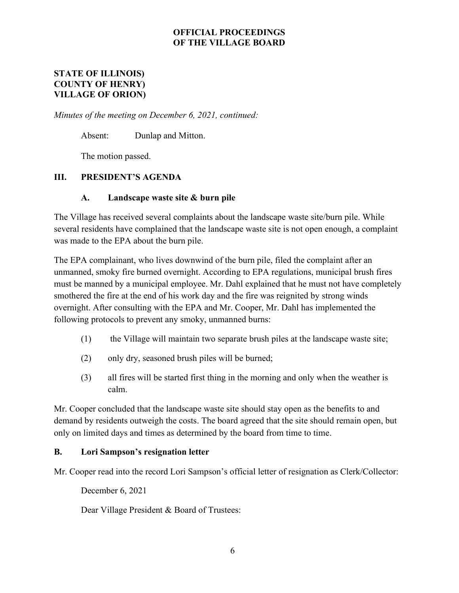## STATE OF ILLINOIS) COUNTY OF HENRY) VILLAGE OF ORION)

Minutes of the meeting on December 6, 2021, continued:

Absent: Dunlap and Mitton.

The motion passed.

# III. PRESIDENT'S AGENDA

## A. Landscape waste site & burn pile

The Village has received several complaints about the landscape waste site/burn pile. While several residents have complained that the landscape waste site is not open enough, a complaint was made to the EPA about the burn pile.

The EPA complainant, who lives downwind of the burn pile, filed the complaint after an unmanned, smoky fire burned overnight. According to EPA regulations, municipal brush fires must be manned by a municipal employee. Mr. Dahl explained that he must not have completely smothered the fire at the end of his work day and the fire was reignited by strong winds overnight. After consulting with the EPA and Mr. Cooper, Mr. Dahl has implemented the following protocols to prevent any smoky, unmanned burns:

- (1) the Village will maintain two separate brush piles at the landscape waste site;
- (2) only dry, seasoned brush piles will be burned;
- (3) all fires will be started first thing in the morning and only when the weather is calm.

Mr. Cooper concluded that the landscape waste site should stay open as the benefits to and demand by residents outweigh the costs. The board agreed that the site should remain open, but only on limited days and times as determined by the board from time to time.

## B. Lori Sampson's resignation letter

Mr. Cooper read into the record Lori Sampson's official letter of resignation as Clerk/Collector:

December 6, 2021

Dear Village President & Board of Trustees: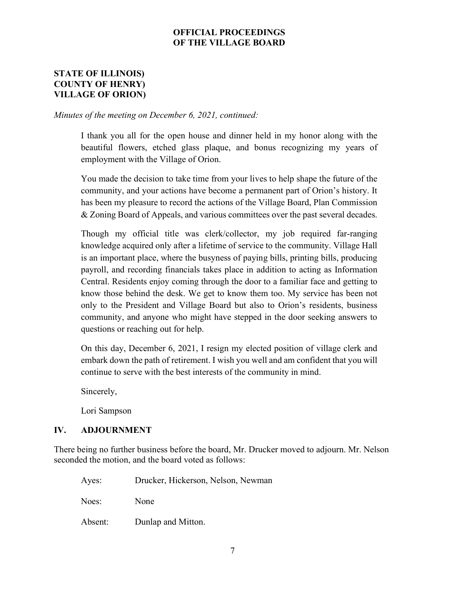## STATE OF ILLINOIS) COUNTY OF HENRY) VILLAGE OF ORION)

Minutes of the meeting on December 6, 2021, continued:

I thank you all for the open house and dinner held in my honor along with the beautiful flowers, etched glass plaque, and bonus recognizing my years of employment with the Village of Orion.

You made the decision to take time from your lives to help shape the future of the community, and your actions have become a permanent part of Orion's history. It has been my pleasure to record the actions of the Village Board, Plan Commission & Zoning Board of Appeals, and various committees over the past several decades.

Though my official title was clerk/collector, my job required far-ranging knowledge acquired only after a lifetime of service to the community. Village Hall is an important place, where the busyness of paying bills, printing bills, producing payroll, and recording financials takes place in addition to acting as Information Central. Residents enjoy coming through the door to a familiar face and getting to know those behind the desk. We get to know them too. My service has been not only to the President and Village Board but also to Orion's residents, business community, and anyone who might have stepped in the door seeking answers to questions or reaching out for help.

On this day, December 6, 2021, I resign my elected position of village clerk and embark down the path of retirement. I wish you well and am confident that you will continue to serve with the best interests of the community in mind.

Sincerely,

Lori Sampson

## IV. ADJOURNMENT

There being no further business before the board, Mr. Drucker moved to adjourn. Mr. Nelson seconded the motion, and the board voted as follows:

Ayes: Drucker, Hickerson, Nelson, Newman

Noes: None

Absent: Dunlap and Mitton.